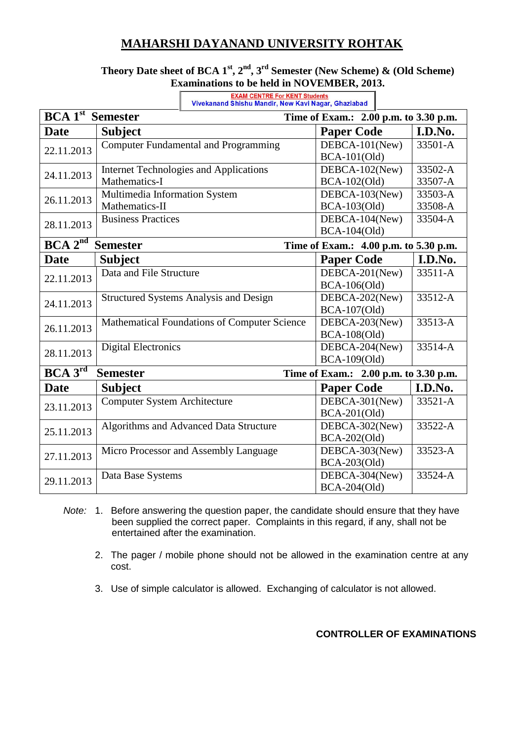## **MAHARSHI DAYANAND UNIVERSITY ROHTAK**

 $\Gamma$ 

### **Theory Date sheet of BCA 1st, 2nd, 3rd Semester (New Scheme) & (Old Scheme) Examinations to be held in NOVEMBER, 2013.**

| Vivekanand Shishu Mandir, New Kavi Nagar, Ghaziabad                                 |                                               |                     |         |  |  |
|-------------------------------------------------------------------------------------|-----------------------------------------------|---------------------|---------|--|--|
| <b>BCA 1st</b> Semester<br>Time of Exam.: 2.00 p.m. to 3.30 p.m.                    |                                               |                     |         |  |  |
| <b>Date</b>                                                                         | <b>Subject</b>                                | <b>Paper Code</b>   | I.D.No. |  |  |
| 22.11.2013                                                                          | <b>Computer Fundamental and Programming</b>   | DEBCA-101(New)      | 33501-A |  |  |
|                                                                                     |                                               | <b>BCA-101(Old)</b> |         |  |  |
| 24.11.2013                                                                          | <b>Internet Technologies and Applications</b> | DEBCA-102(New)      | 33502-A |  |  |
|                                                                                     | Mathematics-I                                 | BCA-102(Old)        | 33507-A |  |  |
| 26.11.2013                                                                          | Multimedia Information System                 | DEBCA-103(New)      | 33503-A |  |  |
|                                                                                     | Mathematics-II                                | BCA-103(Old)        | 33508-A |  |  |
| 28.11.2013                                                                          | <b>Business Practices</b>                     | DEBCA-104(New)      | 33504-A |  |  |
|                                                                                     |                                               | BCA-104(Old)        |         |  |  |
| $BCA 2^{\overline{nd}}$<br><b>Semester</b><br>Time of Exam.: 4.00 p.m. to 5.30 p.m. |                                               |                     |         |  |  |
| <b>Date</b>                                                                         | <b>Subject</b>                                | <b>Paper Code</b>   | I.D.No. |  |  |
|                                                                                     | Data and File Structure                       | DEBCA-201(New)      | 33511-A |  |  |
| 22.11.2013                                                                          |                                               | BCA-106(Old)        |         |  |  |
| 24.11.2013                                                                          | <b>Structured Systems Analysis and Design</b> | DEBCA-202(New)      | 33512-A |  |  |
|                                                                                     |                                               | BCA-107(Old)        |         |  |  |
| 26.11.2013                                                                          | Mathematical Foundations of Computer Science  | DEBCA-203(New)      | 33513-A |  |  |
|                                                                                     |                                               | <b>BCA-108(Old)</b> |         |  |  |
| 28.11.2013                                                                          | <b>Digital Electronics</b>                    | DEBCA-204(New)      | 33514-A |  |  |
|                                                                                     |                                               | BCA-109(Old)        |         |  |  |
| $BCA$ $3^{rd}$<br><b>Semester</b><br>Time of Exam.: 2.00 p.m. to 3.30 p.m.          |                                               |                     |         |  |  |
| <b>Date</b>                                                                         | <b>Subject</b>                                | <b>Paper Code</b>   | I.D.No. |  |  |
| 23.11.2013                                                                          | <b>Computer System Architecture</b>           | DEBCA-301(New)      | 33521-A |  |  |
|                                                                                     |                                               | BCA-201(Old)        |         |  |  |
| 25.11.2013                                                                          | Algorithms and Advanced Data Structure        | DEBCA-302(New)      | 33522-A |  |  |
|                                                                                     |                                               | BCA-202(Old)        |         |  |  |
| 27.11.2013                                                                          | Micro Processor and Assembly Language         | DEBCA-303(New)      | 33523-A |  |  |
|                                                                                     |                                               | BCA-203(Old)        |         |  |  |
| 29.11.2013                                                                          | Data Base Systems                             | DEBCA-304(New)      | 33524-A |  |  |
|                                                                                     |                                               | BCA-204(Old)        |         |  |  |

┓

- *Note:* 1. Before answering the question paper, the candidate should ensure that they have been supplied the correct paper. Complaints in this regard, if any, shall not be entertained after the examination.
	- 2. The pager / mobile phone should not be allowed in the examination centre at any cost.
	- 3. Use of simple calculator is allowed. Exchanging of calculator is not allowed.

#### **CONTROLLER OF EXAMINATIONS**